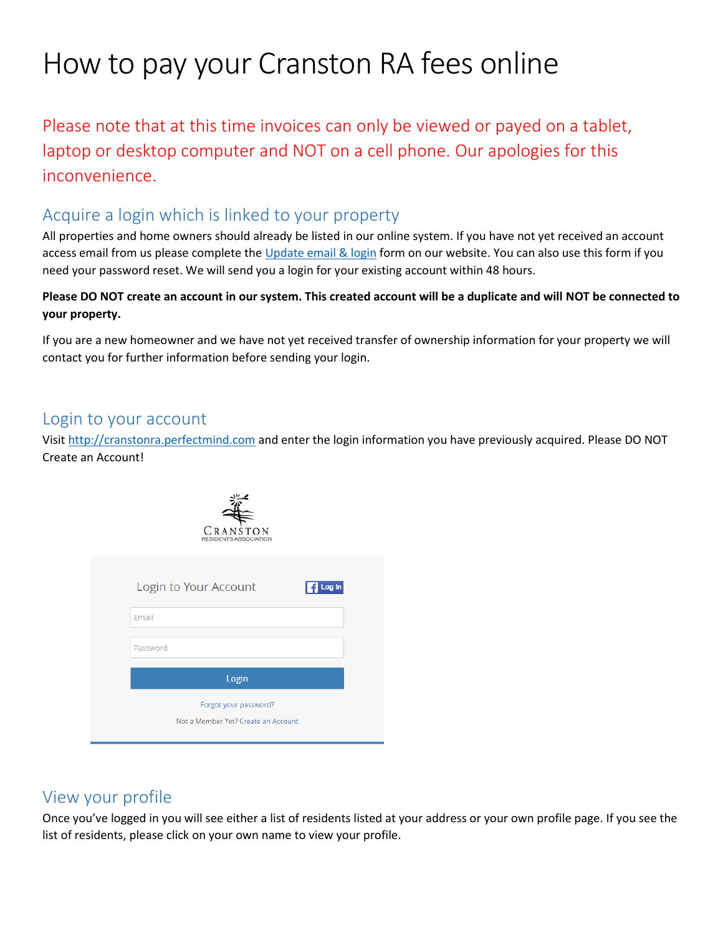# How to pay your Cranston RA fees online

Please note that at this time invoices can only be viewed or payed on a tablet, laptop or desktop computer and NOT on a cell phone. Our apologies for this inconvenience.

#### Acquire a login which is linked to your property

All properties and home owners should already be listed in our online system. If you have not yet received an account access email from us please complete th[e Update email & login](https://cranstonra.ca/update-email-and-login-form/) form on our website. You can also use this form if you need your password reset. We will send you a login for your existing account within 48 hours.

**Please DO NOT create an account in our system. This created account will be a duplicate and will NOT be connected to your property.** 

If you are a new homeowner and we have not yet received transfer of ownership information for your property we will contact you for further information before sending your login.

#### Login to your account

Visit [http://cranstonra.perfectmind.com](http://cranstonra.perfectmind.com/) and enter the login information you have previously acquired. Please DO NOT Create an Account!



|          | Login to Your Account               | <b>1</b> Log in |
|----------|-------------------------------------|-----------------|
| Email    |                                     |                 |
| Password |                                     |                 |
|          | Login                               |                 |
|          | Forgot your password?               |                 |
|          | Not a Member Yet? Create an Account |                 |

#### View your profile

Once you've logged in you will see either a list of residents listed at your address or your own profile page. If you see the list of residents, please click on your own name to view your profile.